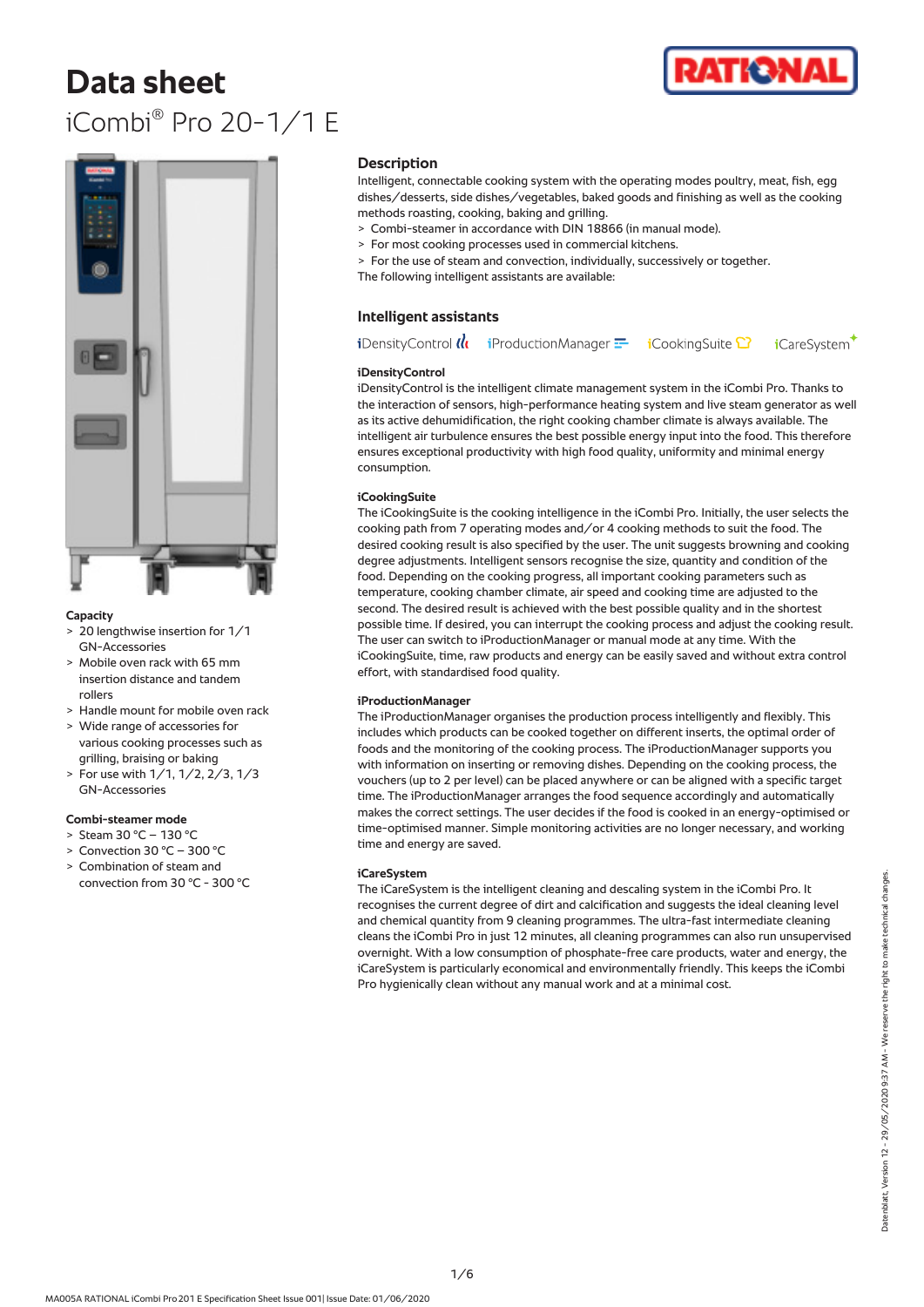# **Data sheet** iCombi® Pro 20-1/1 E





#### **Capacity**

- > 20 lengthwise insertion for 1/1 GN-Accessories
- > Mobile oven rack with 65 mm insertion distance and tandem rollers
- > Handle mount for mobile oven rack
- > Wide range of accessories for various cooking processes such as grilling, braising or baking
- > For use with 1/1, 1/2, 2/3, 1/3 GN-Accessories

# **Combi-steamer mode**

- > Steam 30 °C 130 °C
- > Convection 30 °C 300 °C
- > Combination of steam and convection from 30 °C - 300 °C

#### **Description**

Intelligent, connectable cooking system with the operating modes poultry, meat, fish, egg dishes/desserts, side dishes/vegetables, baked goods and finishing as well as the cooking methods roasting, cooking, baking and grilling.

- > Combi-steamer in accordance with DIN 18866 (in manual mode).
- > For most cooking processes used in commercial kitchens.
- > For the use of steam and convection, individually, successively or together. The following intelligent assistants are available:

# **Intelligent assistants**

**i**DensityControl  $\mathcal{U}_1$  **i**ProductionManager  $\mathbf{F}$ **i**CookingSuite <sup>1</sup> **i**CareSystem

#### **iDensityControl**

iDensityControl is the intelligent climate management system in the iCombi Pro. Thanks to the interaction of sensors, high-performance heating system and live steam generator as well as its active dehumidification, the right cooking chamber climate is always available. The intelligent air turbulence ensures the best possible energy input into the food. This therefore ensures exceptional productivity with high food quality, uniformity and minimal energy consumption.

# **iCookingSuite**

The iCookingSuite is the cooking intelligence in the iCombi Pro. Initially, the user selects the cooking path from 7 operating modes and/or 4 cooking methods to suit the food. The desired cooking result is also specified by the user. The unit suggests browning and cooking degree adjustments. Intelligent sensors recognise the size, quantity and condition of the food. Depending on the cooking progress, all important cooking parameters such as temperature, cooking chamber climate, air speed and cooking time are adjusted to the second. The desired result is achieved with the best possible quality and in the shortest possible time. If desired, you can interrupt the cooking process and adjust the cooking result. The user can switch to iProductionManager or manual mode at any time. With the iCookingSuite, time, raw products and energy can be easily saved and without extra control effort, with standardised food quality.

#### **iProductionManager**

The iProductionManager organises the production process intelligently and flexibly. This includes which products can be cooked together on different inserts, the optimal order of foods and the monitoring of the cooking process. The iProductionManager supports you with information on inserting or removing dishes. Depending on the cooking process, the vouchers (up to 2 per level) can be placed anywhere or can be aligned with a specific target time. The iProductionManager arranges the food sequence accordingly and automatically makes the correct settings. The user decides if the food is cooked in an energy-optimised or time-optimised manner. Simple monitoring activities are no longer necessary, and working time and energy are saved.

#### **iCareSystem**

The iCareSystem is the intelligent cleaning and descaling system in the iCombi Pro. It recognises the current degree of dirt and calcification and suggests the ideal cleaning level and chemical quantity from 9 cleaning programmes. The ultra-fast intermediate cleaning cleans the iCombi Pro in just 12 minutes, all cleaning programmes can also run unsupervised overnight. With a low consumption of phosphate-free care products, water and energy, the iCareSystem is particularly economical and environmentally friendly. This keeps the iCombi Pro hygienically clean without any manual work and at a minimal cost.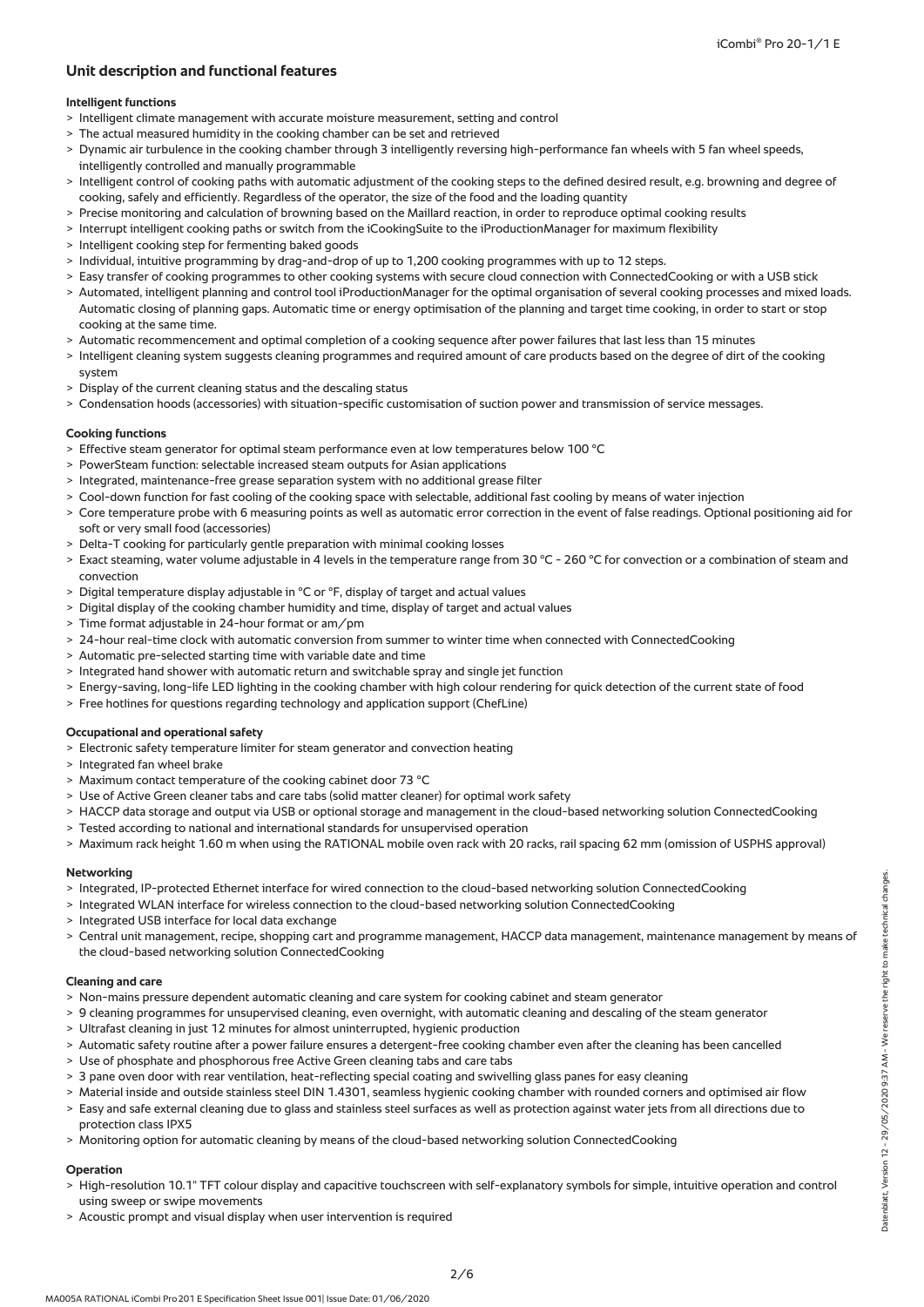# **Unit description and functional features**

## **Intelligent functions**

- > Intelligent climate management with accurate moisture measurement, setting and control
- > The actual measured humidity in the cooking chamber can be set and retrieved
- > Dynamic air turbulence in the cooking chamber through 3 intelligently reversing high-performance fan wheels with 5 fan wheel speeds, intelligently controlled and manually programmable
- > Intelligent control of cooking paths with automatic adjustment of the cooking steps to the defined desired result, e.g. browning and degree of cooking, safely and efficiently. Regardless of the operator, the size of the food and the loading quantity
- > Precise monitoring and calculation of browning based on the Maillard reaction, in order to reproduce optimal cooking results
- > Interrupt intelligent cooking paths or switch from the iCookingSuite to the iProductionManager for maximum flexibility
- > Intelligent cooking step for fermenting baked goods
- > Individual, intuitive programming by drag-and-drop of up to 1,200 cooking programmes with up to 12 steps.
- > Easy transfer of cooking programmes to other cooking systems with secure cloud connection with ConnectedCooking or with a USB stick
- > Automated, intelligent planning and control tool iProductionManager for the optimal organisation of several cooking processes and mixed loads. Automatic closing of planning gaps. Automatic time or energy optimisation of the planning and target time cooking, in order to start or stop cooking at the same time.
- > Automatic recommencement and optimal completion of a cooking sequence after power failures that last less than 15 minutes
- > Intelligent cleaning system suggests cleaning programmes and required amount of care products based on the degree of dirt of the cooking system
- > Display of the current cleaning status and the descaling status
- > Condensation hoods (accessories) with situation-specific customisation of suction power and transmission of service messages.

#### **Cooking functions**

- > Effective steam generator for optimal steam performance even at low temperatures below 100 °C
- > PowerSteam function: selectable increased steam outputs for Asian applications
- > Integrated, maintenance-free grease separation system with no additional grease filter
- Cool-down function for fast cooling of the cooking space with selectable, additional fast cooling by means of water injection
- > Core temperature probe with 6 measuring points as well as automatic error correction in the event of false readings. Optional positioning aid for soft or very small food (accessories)
- > Delta-T cooking for particularly gentle preparation with minimal cooking losses
- > Exact steaming, water volume adjustable in 4 levels in the temperature range from 30 °C 260 °C for convection or a combination of steam and convection
- > Digital temperature display adjustable in °C or °F, display of target and actual values
- > Digital display of the cooking chamber humidity and time, display of target and actual values
- > Time format adjustable in 24-hour format or am/pm
- > 24-hour real-time clock with automatic conversion from summer to winter time when connected with ConnectedCooking
- > Automatic pre-selected starting time with variable date and time
- > Integrated hand shower with automatic return and switchable spray and single jet function
- > Energy-saving, long-life LED lighting in the cooking chamber with high colour rendering for quick detection of the current state of food
- > Free hotlines for questions regarding technology and application support (ChefLine)

# **Occupational and operational safety**

- > Electronic safety temperature limiter for steam generator and convection heating
- > Integrated fan wheel brake
- > Maximum contact temperature of the cooking cabinet door 73 °C
- > Use of Active Green cleaner tabs and care tabs (solid matter cleaner) for optimal work safety
- > HACCP data storage and output via USB or optional storage and management in the cloud-based networking solution ConnectedCooking
- > Tested according to national and international standards for unsupervised operation
- > Maximum rack height 1.60 m when using the RATIONAL mobile oven rack with 20 racks, rail spacing 62 mm (omission of USPHS approval)

#### **Networking**

- > Integrated, IP-protected Ethernet interface for wired connection to the cloud-based networking solution ConnectedCooking
- > Integrated WLAN interface for wireless connection to the cloud-based networking solution ConnectedCooking
- > Integrated USB interface for local data exchange
- > Central unit management, recipe, shopping cart and programme management, HACCP data management, maintenance management by means of the cloud-based networking solution ConnectedCooking

#### **Cleaning and care**

- > Non-mains pressure dependent automatic cleaning and care system for cooking cabinet and steam generator
- > 9 cleaning programmes for unsupervised cleaning, even overnight, with automatic cleaning and descaling of the steam generator
- > Ultrafast cleaning in just 12 minutes for almost uninterrupted, hygienic production
- Automatic safety routine after a power failure ensures a detergent-free cooking chamber even after the cleaning has been cancelled
- > Use of phosphate and phosphorous free Active Green cleaning tabs and care tabs
- > 3 pane oven door with rear ventilation, heat-reflecting special coating and swivelling glass panes for easy cleaning
- > Material inside and outside stainless steel DIN 1.4301, seamless hygienic cooking chamber with rounded corners and optimised air flow
- > Easy and safe external cleaning due to glass and stainless steel surfaces as well as protection against water jets from all directions due to protection class IPX5
- > Monitoring option for automatic cleaning by means of the cloud-based networking solution ConnectedCooking

#### **Operation**

- > High-resolution 10.1" TFT colour display and capacitive touchscreen with self-explanatory symbols for simple, intuitive operation and control using sweep or swipe movements
- > Acoustic prompt and visual display when user intervention is required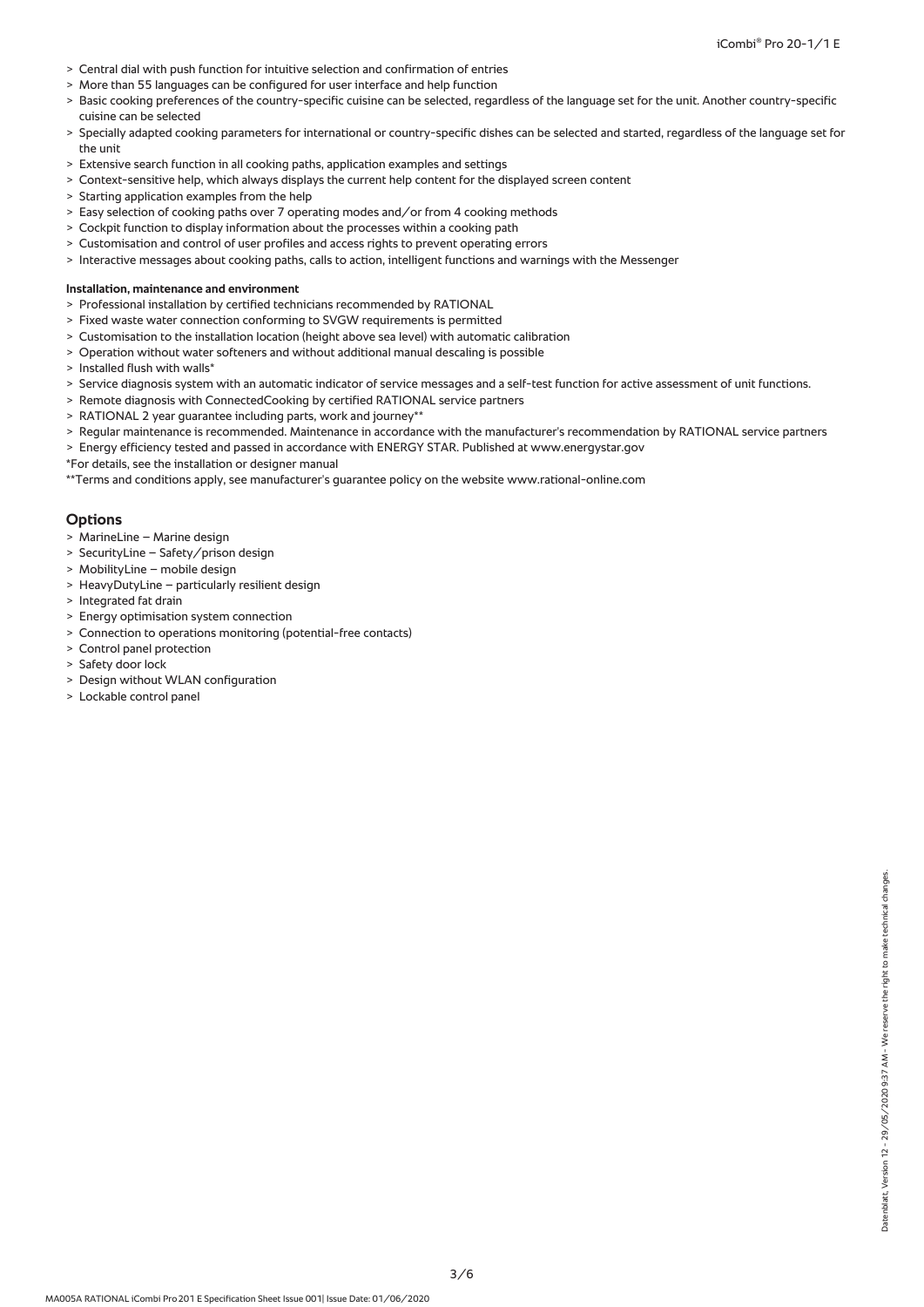- > Central dial with push function for intuitive selection and confirmation of entries
- > More than 55 languages can be configured for user interface and help function
- > Basic cooking preferences of the country-specific cuisine can be selected, regardless of the language set for the unit. Another country-specific cuisine can be selected
- > Specially adapted cooking parameters for international or country-specific dishes can be selected and started, regardless of the language set for the unit
- > Extensive search function in all cooking paths, application examples and settings
- > Context-sensitive help, which always displays the current help content for the displayed screen content
- > Starting application examples from the help
- > Easy selection of cooking paths over 7 operating modes and/or from 4 cooking methods
- > Cockpit function to display information about the processes within a cooking path
- Customisation and control of user profiles and access rights to prevent operating errors
- > Interactive messages about cooking paths, calls to action, intelligent functions and warnings with the Messenger

#### **Installation, maintenance and environment**

- > Professional installation by certified technicians recommended by RATIONAL
- > Fixed waste water connection conforming to SVGW requirements is permitted
- > Customisation to the installation location (height above sea level) with automatic calibration
- > Operation without water softeners and without additional manual descaling is possible
- > Installed flush with walls\*
- > Service diagnosis system with an automatic indicator of service messages and a self-test function for active assessment of unit functions.
- > Remote diagnosis with ConnectedCooking by certified RATIONAL service partners
- > RATIONAL 2 year guarantee including parts, work and journey\*\*
- > Regular maintenance is recommended. Maintenance in accordance with the manufacturer's recommendation by RATIONAL service partners
- > Energy efficiency tested and passed in accordance with ENERGY STAR. Published at www.energystar.gov
- \*For details, see the installation or designer manual

\*\*Terms and conditions apply, see manufacturer's guarantee policy on the website www.rational-online.com

#### **Options**

- > MarineLine Marine design
- > SecurityLine Safety/prison design
- > MobilityLine mobile design
- > HeavyDutyLine particularly resilient design
- > Integrated fat drain
- > Energy optimisation system connection
- > Connection to operations monitoring (potential-free contacts)
- > Control panel protection
- > Safety door lock
- > Design without WLAN configuration
- > Lockable control panel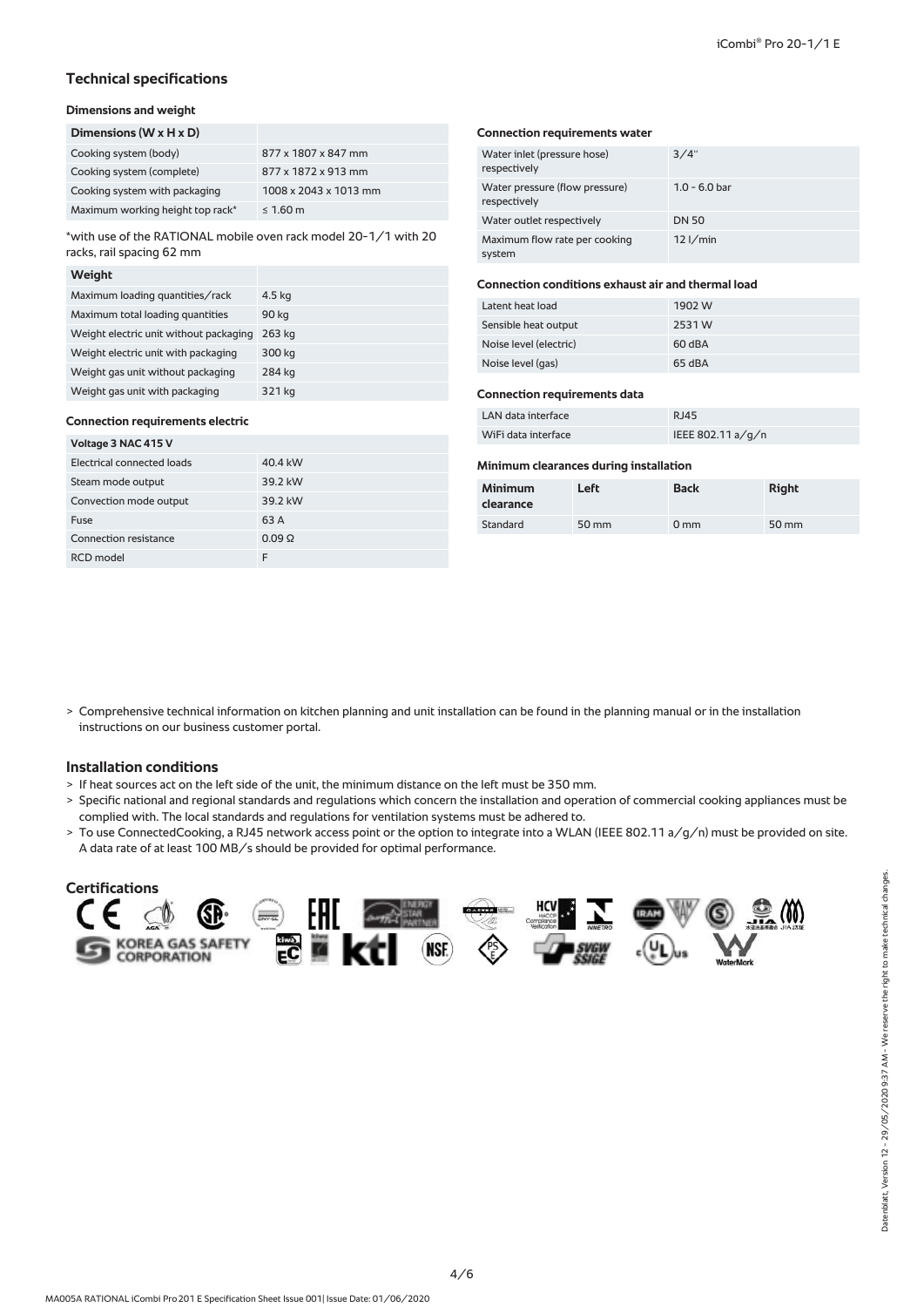# **Technical specifications**

# **Dimensions and weight**

| Dimensions ( $W \times H \times D$ ) |                       |
|--------------------------------------|-----------------------|
| Cooking system (body)                | 877 x 1807 x 847 mm   |
| Cooking system (complete)            | 877 x 1872 x 913 mm   |
| Cooking system with packaging        | 1008 x 2043 x 1013 mm |
| Maximum working height top rack*     | $\leq 1.60$ m         |

\*with use of the RATIONAL mobile oven rack model 20-1/1 with 20 racks, rail spacing 62 mm

#### **Weight**

| Maximum loading quantities/rack        | 4.5 kg |
|----------------------------------------|--------|
| Maximum total loading quantities       | 90 kg  |
| Weight electric unit without packaging | 263 ka |
| Weight electric unit with packaging    | 300 kg |
| Weight gas unit without packaging      | 284 kg |
| Weight gas unit with packaging         | 321 kg |

#### **Connection requirements electric**

| Voltage 3 NAC 415 V        |                 |  |  |  |
|----------------------------|-----------------|--|--|--|
| Electrical connected loads | 40.4 kW         |  |  |  |
| Steam mode output          | 39.2 kW         |  |  |  |
| Convection mode output     | 39.2 kW         |  |  |  |
| Fuse                       | 63 A            |  |  |  |
| Connection resistance      | $0.09$ $\Omega$ |  |  |  |
| RCD model                  | F               |  |  |  |

#### **Connection requirements water**

| Water inlet (pressure hose)<br>respectively    | 3/4"            |
|------------------------------------------------|-----------------|
| Water pressure (flow pressure)<br>respectively | $1.0 - 6.0$ bar |
| Water outlet respectively                      | <b>DN 50</b>    |
| Maximum flow rate per cooking<br>system        | $12$ I/min      |

## **Connection conditions exhaust air and thermal load**

| Latent heat load       | 1902 W |
|------------------------|--------|
| Sensible heat output   | 2531W  |
| Noise level (electric) | 60 dBA |
| Noise level (gas)      | 65 dBA |

#### **Connection requirements data**

| LAN data interface  | RJ45                |
|---------------------|---------------------|
| WiFi data interface | IEEE 802.11 $a/q/n$ |

## **Minimum clearances during installation**

| <b>Minimum</b><br>clearance | Left  | <b>Back</b>     | <b>Right</b> |
|-----------------------------|-------|-----------------|--------------|
| Standard                    | 50 mm | 0 <sub>mm</sub> | 50 mm        |

> Comprehensive technical information on kitchen planning and unit installation can be found in the planning manual or in the installation instructions on our business customer portal.

# **Installation conditions**

- > If heat sources act on the left side of the unit, the minimum distance on the left must be 350 mm.
- > Specific national and regional standards and regulations which concern the installation and operation of commercial cooking appliances must be complied with. The local standards and regulations for ventilation systems must be adhered to.
- > To use ConnectedCooking, a RJ45 network access point or the option to integrate into a WLAN (IEEE 802.11 a/g/n) must be provided on site. A data rate of at least 100 MB/s should be provided for optimal performance.

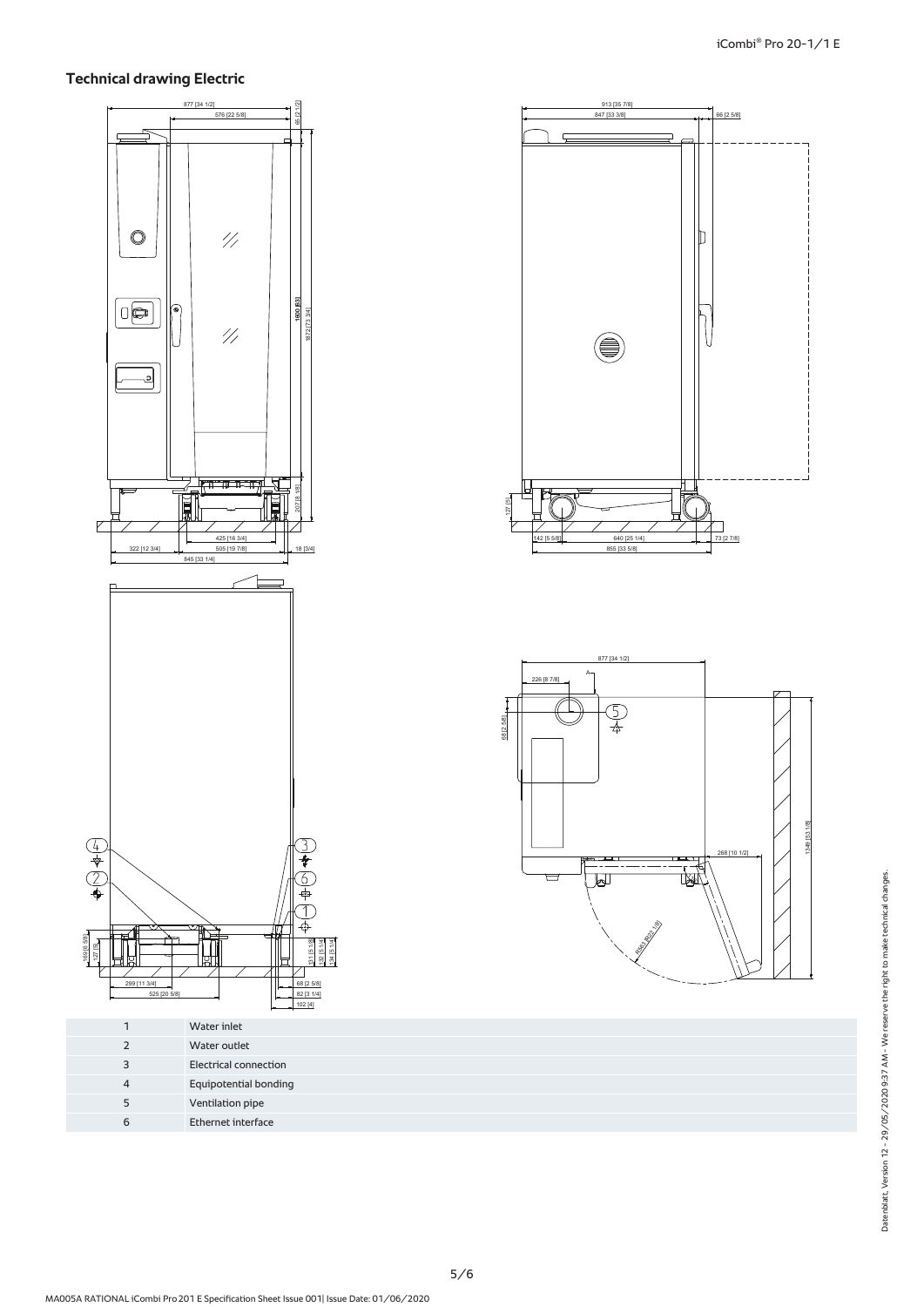# **Technical drawing Electric**



|                       |             |                |        |             | 913 [35 7/8] |             |            |
|-----------------------|-------------|----------------|--------|-------------|--------------|-------------|------------|
| 576 [22 5/8]          | 65 [2 1/2]  |                |        |             | 847 [33 3/8] |             | 66 [2 5/8] |
|                       |             |                |        |             |              |             |            |
|                       |             |                |        |             |              |             |            |
|                       | ┍           |                |        |             |              |             |            |
|                       |             |                |        |             |              |             |            |
|                       |             |                |        |             |              |             |            |
|                       |             |                |        |             |              |             |            |
|                       |             |                |        |             |              |             |            |
|                       |             |                |        |             |              |             |            |
|                       |             |                |        |             |              |             |            |
|                       |             |                |        |             |              |             |            |
|                       |             |                |        |             |              |             |            |
|                       |             |                |        |             |              |             |            |
|                       |             |                |        |             |              |             |            |
| $\frac{1}{2}$         |             |                |        |             |              | $\mathbb D$ |            |
|                       |             |                |        |             |              |             |            |
|                       |             |                |        |             |              |             |            |
|                       |             |                |        |             |              |             |            |
|                       |             |                |        |             |              |             |            |
|                       |             |                |        |             |              |             |            |
|                       |             |                |        |             |              |             |            |
|                       |             |                |        |             |              |             |            |
|                       |             |                |        |             |              |             |            |
|                       |             |                |        |             |              |             |            |
|                       |             |                |        |             |              |             |            |
| $\mathscr{U}$         |             | 1600 1600 1631 |        |             |              |             |            |
|                       |             |                |        |             |              |             |            |
|                       |             |                |        |             |              |             |            |
|                       |             |                |        |             |              |             |            |
|                       |             |                |        |             |              |             |            |
|                       |             |                |        |             |              |             |            |
|                       |             |                |        |             |              |             |            |
|                       |             |                |        |             |              |             |            |
|                       |             |                |        |             |              |             |            |
|                       |             |                |        |             |              |             |            |
|                       |             |                |        |             |              |             |            |
|                       |             |                |        |             |              |             |            |
|                       |             |                |        |             |              |             |            |
|                       |             |                |        |             |              |             |            |
|                       |             |                |        |             |              |             |            |
|                       |             |                |        |             |              |             |            |
| <del>ाम म</del> ामा ‼ |             |                |        |             |              |             |            |
|                       | 207 [8 1/8] |                |        |             |              |             |            |
|                       |             |                | 127[5] |             |              |             |            |
| É.                    |             |                |        |             |              |             |            |
|                       |             |                |        |             |              |             |            |
|                       |             |                |        |             |              |             |            |
| 425 [16 3/4]          |             |                |        | 142 [5 5/8] | 640 [25 1/4] |             | 73 [2 7/8] |
| 505 [19 7/8]          |             | 18 [3/4]       |        |             | 855 [33 5/8] |             |            |
|                       |             |                |        |             |              |             |            |



| Water inlet<br>Water outlet<br><b>Electrical connection</b><br>3<br><b>Equipotential bonding</b><br>4<br>Ventilation pipe<br>5 |   | $102 +$            |
|--------------------------------------------------------------------------------------------------------------------------------|---|--------------------|
|                                                                                                                                |   |                    |
|                                                                                                                                |   |                    |
|                                                                                                                                |   |                    |
|                                                                                                                                |   |                    |
|                                                                                                                                |   |                    |
|                                                                                                                                | 6 | Ethernet interface |